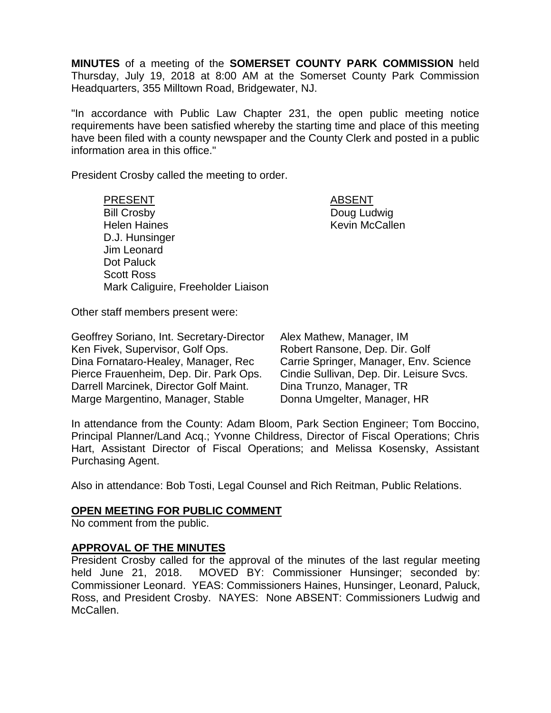**MINUTES** of a meeting of the **SOMERSET COUNTY PARK COMMISSION** held Thursday, July 19, 2018 at 8:00 AM at the Somerset County Park Commission Headquarters, 355 Milltown Road, Bridgewater, NJ.

"In accordance with Public Law Chapter 231, the open public meeting notice requirements have been satisfied whereby the starting time and place of this meeting have been filed with a county newspaper and the County Clerk and posted in a public information area in this office."

President Crosby called the meeting to order.

PRESENT ABSENT Bill Crosby **Doug Ludwig** Helen Haines **Kevin McCallen** D.J. Hunsinger Jim Leonard Dot Paluck Scott Ross Mark Caliguire, Freeholder Liaison

Other staff members present were:

Geoffrey Soriano, Int. Secretary-Director Ken Fivek, Supervisor, Golf Ops. Dina Fornataro-Healey, Manager, Rec Pierce Frauenheim, Dep. Dir. Park Ops. Darrell Marcinek, Director Golf Maint. Marge Margentino, Manager, Stable

Alex Mathew, Manager, IM Robert Ransone, Dep. Dir. Golf Carrie Springer, Manager, Env. Science Cindie Sullivan, Dep. Dir. Leisure Svcs. Dina Trunzo, Manager, TR Donna Umgelter, Manager, HR

In attendance from the County: Adam Bloom, Park Section Engineer; Tom Boccino, Principal Planner/Land Acq.; Yvonne Childress, Director of Fiscal Operations; Chris Hart, Assistant Director of Fiscal Operations; and Melissa Kosensky, Assistant Purchasing Agent.

Also in attendance: Bob Tosti, Legal Counsel and Rich Reitman, Public Relations.

## **OPEN MEETING FOR PUBLIC COMMENT**

No comment from the public.

## **APPROVAL OF THE MINUTES**

President Crosby called for the approval of the minutes of the last regular meeting held June 21, 2018. MOVED BY: Commissioner Hunsinger; seconded by: Commissioner Leonard. YEAS: Commissioners Haines, Hunsinger, Leonard, Paluck, Ross, and President Crosby. NAYES: None ABSENT: Commissioners Ludwig and McCallen.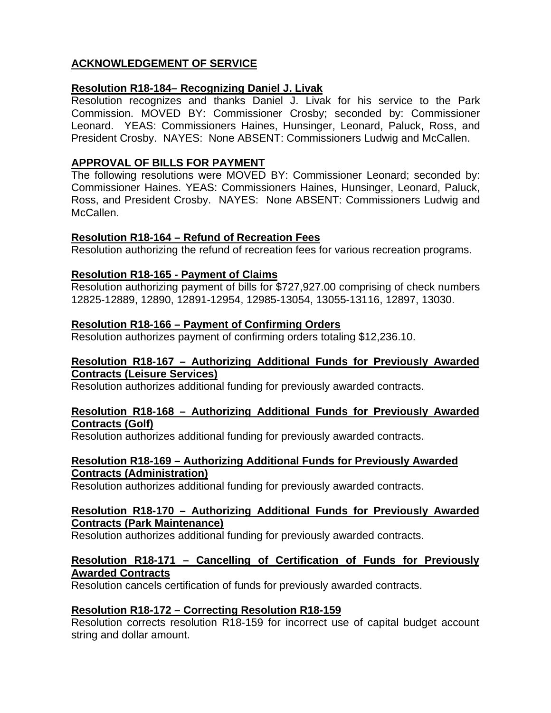# **ACKNOWLEDGEMENT OF SERVICE**

## **Resolution R18-184– Recognizing Daniel J. Livak**

Resolution recognizes and thanks Daniel J. Livak for his service to the Park Commission. MOVED BY: Commissioner Crosby; seconded by: Commissioner Leonard. YEAS: Commissioners Haines, Hunsinger, Leonard, Paluck, Ross, and President Crosby. NAYES: None ABSENT: Commissioners Ludwig and McCallen.

## **APPROVAL OF BILLS FOR PAYMENT**

The following resolutions were MOVED BY: Commissioner Leonard; seconded by: Commissioner Haines. YEAS: Commissioners Haines, Hunsinger, Leonard, Paluck, Ross, and President Crosby. NAYES: None ABSENT: Commissioners Ludwig and McCallen.

## **Resolution R18-164 – Refund of Recreation Fees**

Resolution authorizing the refund of recreation fees for various recreation programs.

# **Resolution R18-165 - Payment of Claims**

Resolution authorizing payment of bills for \$727,927.00 comprising of check numbers 12825-12889, 12890, 12891-12954, 12985-13054, 13055-13116, 12897, 13030.

## **Resolution R18-166 – Payment of Confirming Orders**

Resolution authorizes payment of confirming orders totaling \$12,236.10.

## **Resolution R18-167 – Authorizing Additional Funds for Previously Awarded Contracts (Leisure Services)**

Resolution authorizes additional funding for previously awarded contracts.

#### **Resolution R18-168 – Authorizing Additional Funds for Previously Awarded Contracts (Golf)**

Resolution authorizes additional funding for previously awarded contracts.

## **Resolution R18-169 – Authorizing Additional Funds for Previously Awarded Contracts (Administration)**

Resolution authorizes additional funding for previously awarded contracts.

#### **Resolution R18-170 – Authorizing Additional Funds for Previously Awarded Contracts (Park Maintenance)**

Resolution authorizes additional funding for previously awarded contracts.

## **Resolution R18-171 – Cancelling of Certification of Funds for Previously Awarded Contracts**

Resolution cancels certification of funds for previously awarded contracts.

## **Resolution R18-172 – Correcting Resolution R18-159**

Resolution corrects resolution R18-159 for incorrect use of capital budget account string and dollar amount.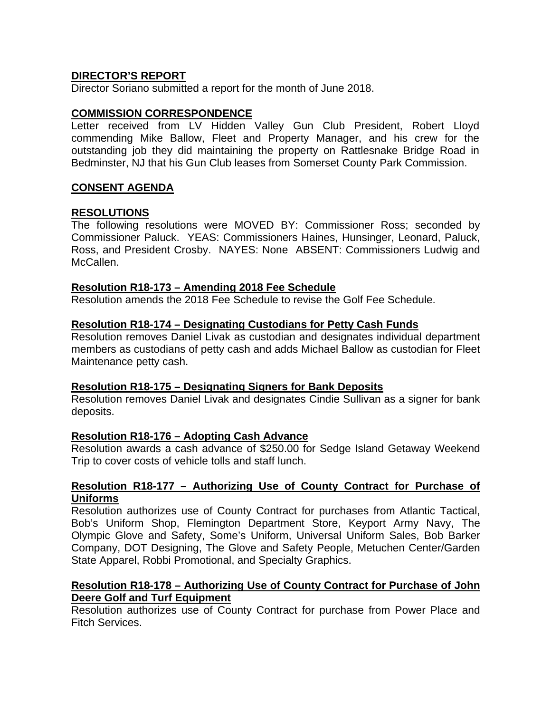## **DIRECTOR'S REPORT**

Director Soriano submitted a report for the month of June 2018.

#### **COMMISSION CORRESPONDENCE**

Letter received from LV Hidden Valley Gun Club President, Robert Lloyd commending Mike Ballow, Fleet and Property Manager, and his crew for the outstanding job they did maintaining the property on Rattlesnake Bridge Road in Bedminster, NJ that his Gun Club leases from Somerset County Park Commission.

#### **CONSENT AGENDA**

#### **RESOLUTIONS**

The following resolutions were MOVED BY: Commissioner Ross; seconded by Commissioner Paluck. YEAS: Commissioners Haines, Hunsinger, Leonard, Paluck, Ross, and President Crosby. NAYES: None ABSENT: Commissioners Ludwig and McCallen.

#### **Resolution R18-173 – Amending 2018 Fee Schedule**

Resolution amends the 2018 Fee Schedule to revise the Golf Fee Schedule.

#### **Resolution R18-174 – Designating Custodians for Petty Cash Funds**

Resolution removes Daniel Livak as custodian and designates individual department members as custodians of petty cash and adds Michael Ballow as custodian for Fleet Maintenance petty cash.

#### **Resolution R18-175 – Designating Signers for Bank Deposits**

Resolution removes Daniel Livak and designates Cindie Sullivan as a signer for bank deposits.

## **Resolution R18-176 – Adopting Cash Advance**

Resolution awards a cash advance of \$250.00 for Sedge Island Getaway Weekend Trip to cover costs of vehicle tolls and staff lunch.

#### **Resolution R18-177 – Authorizing Use of County Contract for Purchase of Uniforms**

Resolution authorizes use of County Contract for purchases from Atlantic Tactical, Bob's Uniform Shop, Flemington Department Store, Keyport Army Navy, The Olympic Glove and Safety, Some's Uniform, Universal Uniform Sales, Bob Barker Company, DOT Designing, The Glove and Safety People, Metuchen Center/Garden State Apparel, Robbi Promotional, and Specialty Graphics.

#### **Resolution R18-178 – Authorizing Use of County Contract for Purchase of John Deere Golf and Turf Equipment**

Resolution authorizes use of County Contract for purchase from Power Place and Fitch Services.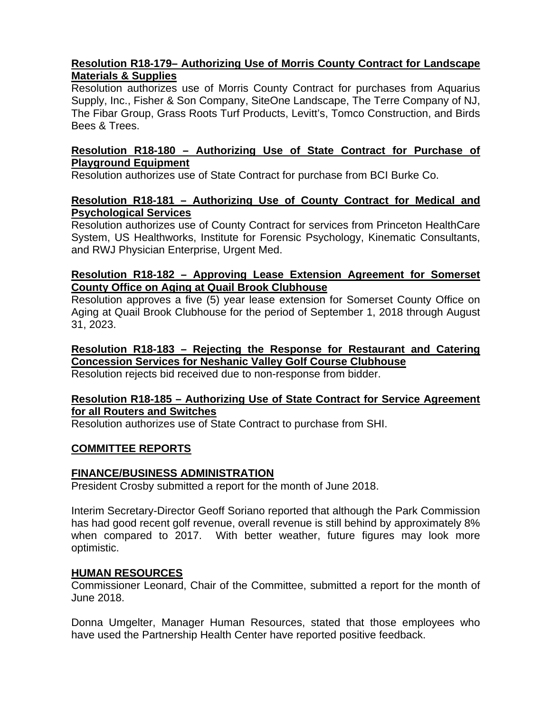## **Resolution R18-179– Authorizing Use of Morris County Contract for Landscape Materials & Supplies**

Resolution authorizes use of Morris County Contract for purchases from Aquarius Supply, Inc., Fisher & Son Company, SiteOne Landscape, The Terre Company of NJ, The Fibar Group, Grass Roots Turf Products, Levitt's, Tomco Construction, and Birds Bees & Trees.

## **Resolution R18-180 – Authorizing Use of State Contract for Purchase of Playground Equipment**

Resolution authorizes use of State Contract for purchase from BCI Burke Co.

## **Resolution R18-181 – Authorizing Use of County Contract for Medical and Psychological Services**

Resolution authorizes use of County Contract for services from Princeton HealthCare System, US Healthworks, Institute for Forensic Psychology, Kinematic Consultants, and RWJ Physician Enterprise, Urgent Med.

# **Resolution R18-182 – Approving Lease Extension Agreement for Somerset County Office on Aging at Quail Brook Clubhouse**

Resolution approves a five (5) year lease extension for Somerset County Office on Aging at Quail Brook Clubhouse for the period of September 1, 2018 through August 31, 2023.

# **Resolution R18-183 – Rejecting the Response for Restaurant and Catering Concession Services for Neshanic Valley Golf Course Clubhouse**

Resolution rejects bid received due to non-response from bidder.

## **Resolution R18-185 – Authorizing Use of State Contract for Service Agreement for all Routers and Switches**

Resolution authorizes use of State Contract to purchase from SHI.

# **COMMITTEE REPORTS**

# **FINANCE/BUSINESS ADMINISTRATION**

President Crosby submitted a report for the month of June 2018.

Interim Secretary-Director Geoff Soriano reported that although the Park Commission has had good recent golf revenue, overall revenue is still behind by approximately 8% when compared to 2017. With better weather, future figures may look more optimistic.

# **HUMAN RESOURCES**

Commissioner Leonard, Chair of the Committee, submitted a report for the month of June 2018.

Donna Umgelter, Manager Human Resources, stated that those employees who have used the Partnership Health Center have reported positive feedback.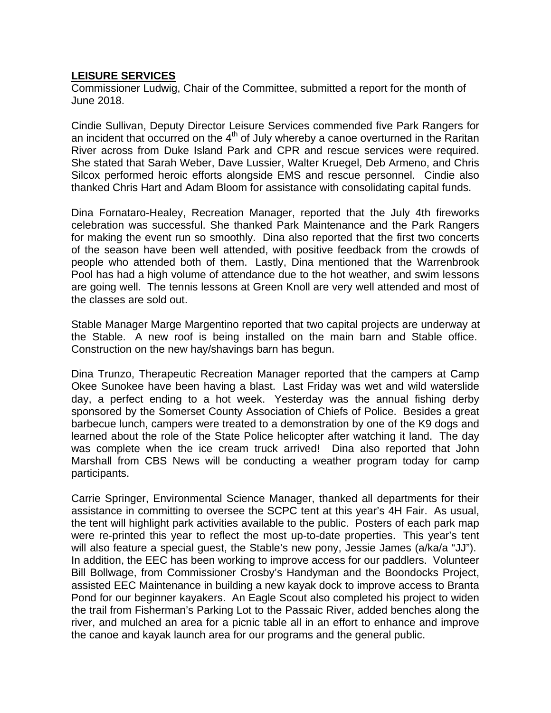# **LEISURE SERVICES**

Commissioner Ludwig, Chair of the Committee, submitted a report for the month of June 2018.

Cindie Sullivan, Deputy Director Leisure Services commended five Park Rangers for an incident that occurred on the  $4<sup>th</sup>$  of July whereby a canoe overturned in the Raritan River across from Duke Island Park and CPR and rescue services were required. She stated that Sarah Weber, Dave Lussier, Walter Kruegel, Deb Armeno, and Chris Silcox performed heroic efforts alongside EMS and rescue personnel. Cindie also thanked Chris Hart and Adam Bloom for assistance with consolidating capital funds.

Dina Fornataro-Healey, Recreation Manager, reported that the July 4th fireworks celebration was successful. She thanked Park Maintenance and the Park Rangers for making the event run so smoothly. Dina also reported that the first two concerts of the season have been well attended, with positive feedback from the crowds of people who attended both of them. Lastly, Dina mentioned that the Warrenbrook Pool has had a high volume of attendance due to the hot weather, and swim lessons are going well. The tennis lessons at Green Knoll are very well attended and most of the classes are sold out.

Stable Manager Marge Margentino reported that two capital projects are underway at the Stable. A new roof is being installed on the main barn and Stable office. Construction on the new hay/shavings barn has begun.

Dina Trunzo, Therapeutic Recreation Manager reported that the campers at Camp Okee Sunokee have been having a blast. Last Friday was wet and wild waterslide day, a perfect ending to a hot week. Yesterday was the annual fishing derby sponsored by the Somerset County Association of Chiefs of Police. Besides a great barbecue lunch, campers were treated to a demonstration by one of the K9 dogs and learned about the role of the State Police helicopter after watching it land. The day was complete when the ice cream truck arrived! Dina also reported that John Marshall from CBS News will be conducting a weather program today for camp participants.

Carrie Springer, Environmental Science Manager, thanked all departments for their assistance in committing to oversee the SCPC tent at this year's 4H Fair. As usual, the tent will highlight park activities available to the public. Posters of each park map were re-printed this year to reflect the most up-to-date properties. This year's tent will also feature a special guest, the Stable's new pony, Jessie James (a/ka/a "JJ"). In addition, the EEC has been working to improve access for our paddlers. Volunteer Bill Bollwage, from Commissioner Crosby's Handyman and the Boondocks Project, assisted EEC Maintenance in building a new kayak dock to improve access to Branta Pond for our beginner kayakers. An Eagle Scout also completed his project to widen the trail from Fisherman's Parking Lot to the Passaic River, added benches along the river, and mulched an area for a picnic table all in an effort to enhance and improve the canoe and kayak launch area for our programs and the general public.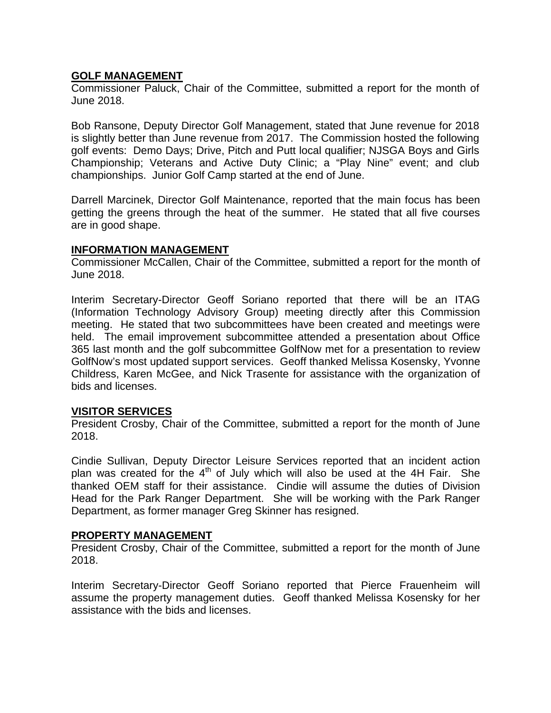## **GOLF MANAGEMENT**

Commissioner Paluck, Chair of the Committee, submitted a report for the month of June 2018.

Bob Ransone, Deputy Director Golf Management, stated that June revenue for 2018 is slightly better than June revenue from 2017. The Commission hosted the following golf events: Demo Days; Drive, Pitch and Putt local qualifier; NJSGA Boys and Girls Championship; Veterans and Active Duty Clinic; a "Play Nine" event; and club championships. Junior Golf Camp started at the end of June.

Darrell Marcinek, Director Golf Maintenance, reported that the main focus has been getting the greens through the heat of the summer. He stated that all five courses are in good shape.

## **INFORMATION MANAGEMENT**

Commissioner McCallen, Chair of the Committee, submitted a report for the month of June 2018.

Interim Secretary-Director Geoff Soriano reported that there will be an ITAG (Information Technology Advisory Group) meeting directly after this Commission meeting. He stated that two subcommittees have been created and meetings were held. The email improvement subcommittee attended a presentation about Office 365 last month and the golf subcommittee GolfNow met for a presentation to review GolfNow's most updated support services. Geoff thanked Melissa Kosensky, Yvonne Childress, Karen McGee, and Nick Trasente for assistance with the organization of bids and licenses.

## **VISITOR SERVICES**

President Crosby, Chair of the Committee, submitted a report for the month of June 2018.

Cindie Sullivan, Deputy Director Leisure Services reported that an incident action plan was created for the  $4<sup>th</sup>$  of July which will also be used at the 4H Fair. She thanked OEM staff for their assistance. Cindie will assume the duties of Division Head for the Park Ranger Department. She will be working with the Park Ranger Department, as former manager Greg Skinner has resigned.

#### **PROPERTY MANAGEMENT**

President Crosby, Chair of the Committee, submitted a report for the month of June 2018.

Interim Secretary-Director Geoff Soriano reported that Pierce Frauenheim will assume the property management duties. Geoff thanked Melissa Kosensky for her assistance with the bids and licenses.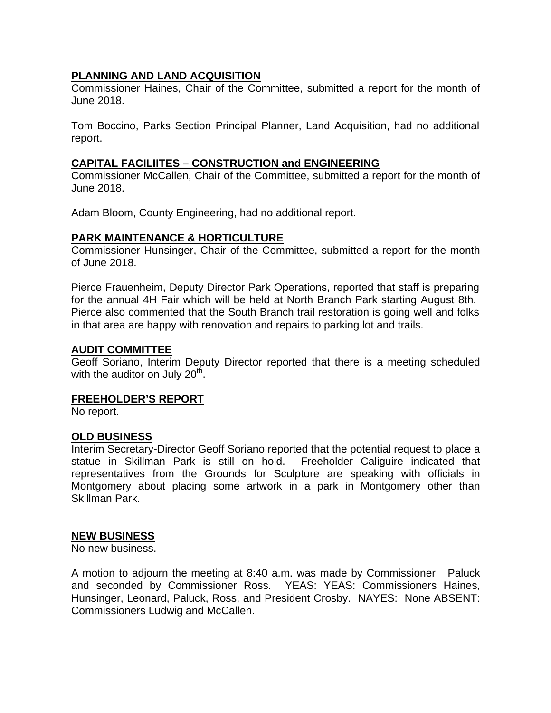## **PLANNING AND LAND ACQUISITION**

Commissioner Haines, Chair of the Committee, submitted a report for the month of June 2018.

Tom Boccino, Parks Section Principal Planner, Land Acquisition, had no additional report.

## **CAPITAL FACILIITES – CONSTRUCTION and ENGINEERING**

Commissioner McCallen, Chair of the Committee, submitted a report for the month of June 2018.

Adam Bloom, County Engineering, had no additional report.

## **PARK MAINTENANCE & HORTICULTURE**

Commissioner Hunsinger, Chair of the Committee, submitted a report for the month of June 2018.

Pierce Frauenheim, Deputy Director Park Operations, reported that staff is preparing for the annual 4H Fair which will be held at North Branch Park starting August 8th. Pierce also commented that the South Branch trail restoration is going well and folks in that area are happy with renovation and repairs to parking lot and trails.

## **AUDIT COMMITTEE**

Geoff Soriano, Interim Deputy Director reported that there is a meeting scheduled with the auditor on July  $20<sup>th</sup>$ .

## **FREEHOLDER'S REPORT**

No report.

## **OLD BUSINESS**

Interim Secretary-Director Geoff Soriano reported that the potential request to place a statue in Skillman Park is still on hold. Freeholder Caliguire indicated that representatives from the Grounds for Sculpture are speaking with officials in Montgomery about placing some artwork in a park in Montgomery other than Skillman Park.

## **NEW BUSINESS**

No new business.

A motion to adjourn the meeting at 8:40 a.m. was made by Commissioner Paluck and seconded by Commissioner Ross. YEAS: YEAS: Commissioners Haines, Hunsinger, Leonard, Paluck, Ross, and President Crosby. NAYES: None ABSENT: Commissioners Ludwig and McCallen.